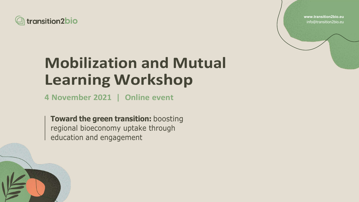**www.transition2bio.eu** info@transition2bio.eu



# **Mobilization and Mutual Learning Workshop**

**4 November 2021 | Online event**

**Toward the green transition:** boosting regional bioeconomy uptake through education and engagement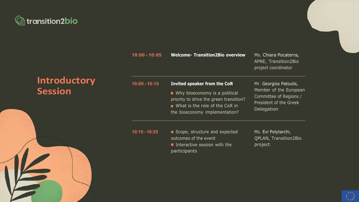

# **Introductory Session**

**10:00 - 10:05 Welcome- Trans** 



#### **10:05 - 10:15**

#### **Invited speaker**

 $\bullet$  Why bioecond priority to drive  $\bullet$  What is the role the bioeconomy

| sition2Bio overview   | Ms. Chiara Pocaterra,<br><b>APRE, Transition2Bio</b><br>project coordinator |
|-----------------------|-----------------------------------------------------------------------------|
| from the CoR          | Mr. Georgios Patoulis,                                                      |
| omy is a political    | Member of the European                                                      |
| the green transition? | Committee of Regions /                                                      |
| ble of the CoR in     | President of the Greek                                                      |
| implementation?       | Delegation                                                                  |
| ire and expected      | Ms. Evi Polytarchi,                                                         |
| event                 | <b>QPLAN, Transition2Bio</b>                                                |
| ssion with the        | project                                                                     |



- **10:15 - 10:25** Scope, structure and expected outcomes of the
	- $\bullet$  Interactive ses participants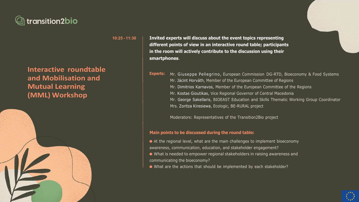### **10:25 - 11:30 Invited experts will discuss about the event topics representing different points of view in an interactive round table; participants in the room will actively contribute to the discussion using their**

**smartphones**.



## **Interactive roundtable and Mobilisation and Mutual Learning (MML) Workshop**



**Experts:** Mr. Giuseppe Pellegrino, European Commission DG-RTD, Bioeconomy & Food Systems

Mr. Jácint Horváth, Member of the European Committee of Regions Mr. Dimitrios Karnavos, Member of the European Committee of the Regions Mr. Kostas Gioutikas, Vice Regional Governor of Central Macedonia Mr. George Sakellaris, BIOEAST Education and Skills Thematic Working Group Coordinator

Mrs. Zoritza Kiresiewa, Ecologic, BE-RURAL project

Moderators: Representatives of the Transition2Bio project

#### **Main points to be discussed during the round table:**

- Αt the regional level, what are the main challenges to implement bioeconomy
- awareness, communication, education, and stakeholder engagement?
- What is needed to empower regional stakeholders in raising awareness and
- What are the actions that should be implemented by each stakeholder?



communicating the bioeconomy?

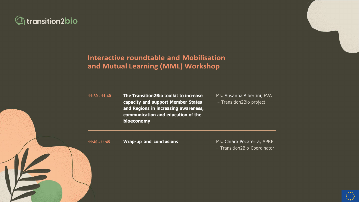

## **Interactive roundtable and Mobilisation and Mutual Learning (MML) Workshop**

**11:30 - 11:40 The Transition2Bio toolkit to increase capacity and support Member States and Regions in increasing awareness, communication and education of the bioeconomy**

Ms. Susanna Albertini, FVA – Transition2Bio project

**11:40 - 11:45 Wrap-up and conclusions** Ms. Chiara Pocaterra, APRE

– Transition2Bio Coordinator